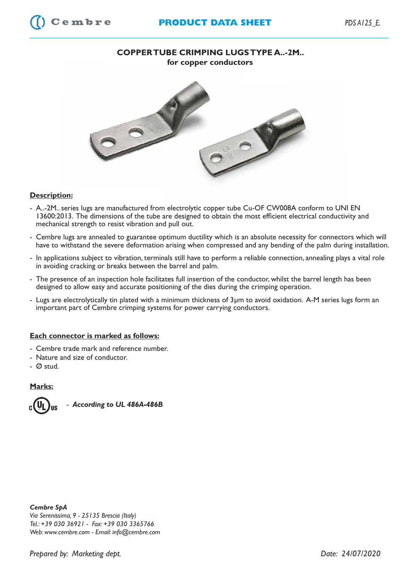

## **Description:**

- A..-2M.. series lugs are manufactured from electrolytic copper tube Cu-OF CW008A conform to UNI EN 13600:2013. The dimensions of the tube are designed to obtain the most efficient electrical conductivity and mechanical strength to resist vibration and pull out.
- Cembre lugs are annealed to guarantee optimum ductility which is an absolute necessity for connectors which will have to withstand the severe deformation arising when compressed and any bending of the palm during installation.
- In applications subject to vibration, terminals still have to perform a reliable connection, annealing plays a vital role in avoiding cracking or breaks between the barrel and palm.
- The presence of an inspection hole facilitates full insertion of the conductor, whilst the barrel length has been designed to allow easy and accurate positioning of the dies during the crimping operation.
- Lugs are electrolytically tin plated with a minimum thickness of 3µm to avoid oxidation. A-M series lugs form an important part of Cembre crimping systems for power carrying conductors.

## **Each connector is marked as follows:**

- Cembre trade mark and reference number.
- Nature and size of conductor.
- Ø stud.

## **Marks:**



 *- According to UL 486A-486B*

*Cembre SpA Via Serenissima, 9 - 25135 Brescia (Italy) Tel.: +39 030 36921 - Fax: +39 030 3365766 Web: www.cembre.com - Email: info@cembre.com*